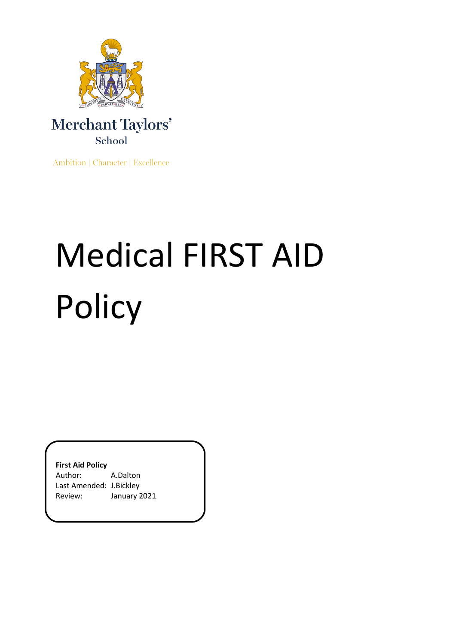

### Merchant Taylors' School

Ambition | Character | Excellence

# Medical FIRST AID Policy

**First Aid Policy**

Author: A.Dalton Last Amended: J.Bickley Review: January 2021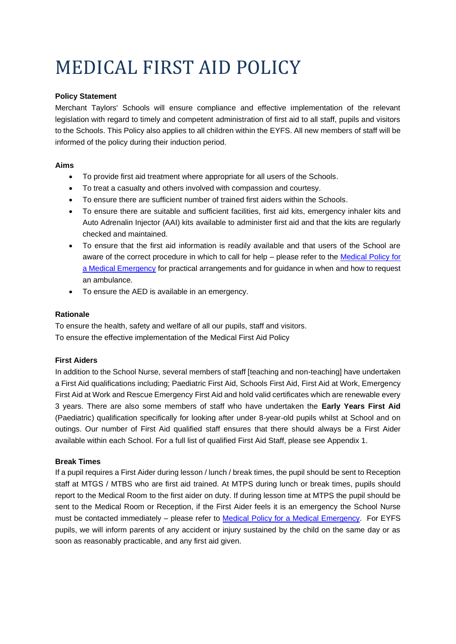## MEDICAL FIRST AID POLICY

#### **Policy Statement**

Merchant Taylors' Schools will ensure compliance and effective implementation of the relevant legislation with regard to timely and competent administration of first aid to all staff, pupils and visitors to the Schools. This Policy also applies to all children within the EYFS. All new members of staff will be informed of the policy during their induction period.

#### **Aims**

- To provide first aid treatment where appropriate for all users of the Schools.
- To treat a casualty and others involved with compassion and courtesy.
- To ensure there are sufficient number of trained first aiders within the Schools.
- To ensure there are suitable and sufficient facilities, first aid kits, emergency inhaler kits and Auto Adrenalin Injector (AAI) kits available to administer first aid and that the kits are regularly checked and maintained.
- To ensure that the first aid information is readily available and that users of the School are aware of the correct procedure in which to call for help – please refer to the Medical Policy for [a Medical Emergency](https://merchanttaylorsschools-my.sharepoint.com/:w:/g/personal/a_dalton_merchanttaylors_com/Ef6gGgmrE_pHjRRLzPUaRvoBM6VXIPfjYKuoq-jOq3Hsxg?e=uVefl2) for practical arrangements and for guidance in when and how to request an ambulance.
- To ensure the AED is available in an emergency.

#### **Rationale**

To ensure the health, safety and welfare of all our pupils, staff and visitors. To ensure the effective implementation of the Medical First Aid Policy

#### **First Aiders**

In addition to the School Nurse, several members of staff [teaching and non-teaching] have undertaken a First Aid qualifications including; Paediatric First Aid, Schools First Aid, First Aid at Work, Emergency First Aid at Work and Rescue Emergency First Aid and hold valid certificates which are renewable every 3 years. There are also some members of staff who have undertaken the **Early Years First Aid** (Paediatric) qualification specifically for looking after under 8-year-old pupils whilst at School and on outings. Our number of First Aid qualified staff ensures that there should always be a First Aider available within each School. For a full list of qualified First Aid Staff, please see Appendix 1.

#### **Break Times**

If a pupil requires a First Aider during lesson / lunch / break times, the pupil should be sent to Reception staff at MTGS / MTBS who are first aid trained. At MTPS during lunch or break times, pupils should report to the Medical Room to the first aider on duty. If during lesson time at MTPS the pupil should be sent to the Medical Room or Reception, if the First Aider feels it is an emergency the School Nurse must be contacted immediately – please refer to [Medical Policy for a Medical Emergency.](https://merchanttaylorsschools-my.sharepoint.com/:w:/g/personal/a_dalton_merchanttaylors_com/Ef6gGgmrE_pHjRRLzPUaRvoBM6VXIPfjYKuoq-jOq3Hsxg?e=uVefl2) For EYFS pupils, we will inform parents of any accident or injury sustained by the child on the same day or as soon as reasonably practicable, and any first aid given.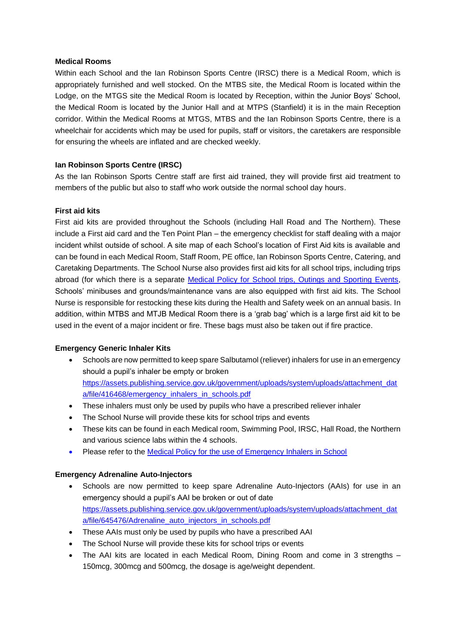#### **Medical Rooms**

Within each School and the Ian Robinson Sports Centre (IRSC) there is a Medical Room, which is appropriately furnished and well stocked. On the MTBS site, the Medical Room is located within the Lodge, on the MTGS site the Medical Room is located by Reception, within the Junior Boys' School, the Medical Room is located by the Junior Hall and at MTPS (Stanfield) it is in the main Reception corridor. Within the Medical Rooms at MTGS, MTBS and the Ian Robinson Sports Centre, there is a wheelchair for accidents which may be used for pupils, staff or visitors, the caretakers are responsible for ensuring the wheels are inflated and are checked weekly.

#### **Ian Robinson Sports Centre (IRSC)**

As the Ian Robinson Sports Centre staff are first aid trained, they will provide first aid treatment to members of the public but also to staff who work outside the normal school day hours.

#### **First aid kits**

First aid kits are provided throughout the Schools (including Hall Road and The Northern). These include a First aid card and the Ten Point Plan – the emergency checklist for staff dealing with a major incident whilst outside of school. A site map of each School's location of First Aid kits is available and can be found in each Medical Room, Staff Room, PE office, Ian Robinson Sports Centre, Catering, and Caretaking Departments. The School Nurse also provides first aid kits for all school trips, including trips abroad (for which there is a separate [Medical Policy for School trips, Outings and Sporting Events,](https://merchanttaylorsschools-my.sharepoint.com/:w:/g/personal/a_dalton_merchanttaylors_com/ETgg54tFL-dAjoRRL7eapiYBgg3iPhKPtVnfopESedFuRw?e=8Wmm8C) Schools' minibuses and grounds/maintenance vans are also equipped with first aid kits. The School Nurse is responsible for restocking these kits during the Health and Safety week on an annual basis. In addition, within MTBS and MTJB Medical Room there is a 'grab bag' which is a large first aid kit to be used in the event of a major incident or fire. These bags must also be taken out if fire practice.

#### **Emergency Generic Inhaler Kits**

- Schools are now permitted to keep spare Salbutamol (reliever) inhalers for use in an emergency should a pupil's inhaler be empty or broken [https://assets.publishing.service.gov.uk/government/uploads/system/uploads/attachment\\_dat](https://assets.publishing.service.gov.uk/government/uploads/system/uploads/attachment_data/file/416468/emergency_inhalers_in_schools.pdf) [a/file/416468/emergency\\_inhalers\\_in\\_schools.pdf](https://assets.publishing.service.gov.uk/government/uploads/system/uploads/attachment_data/file/416468/emergency_inhalers_in_schools.pdf)
- These inhalers must only be used by pupils who have a prescribed reliever inhaler
- The School Nurse will provide these kits for school trips and events
- These kits can be found in each Medical room, Swimming Pool, IRSC, Hall Road, the Northern and various science labs within the 4 schools.
- Please refer to the [Medical Policy for the use of Emergency Inhalers in School](https://merchanttaylorsschools-my.sharepoint.com/:w:/g/personal/a_dalton_merchanttaylors_com/EXJYYoSapttGgqCpZ4zjfikBgb8egXca1AXzrOT6c4X-Vg?e=fWKXe1)

#### **Emergency Adrenaline Auto-Injectors**

- Schools are now permitted to keep spare Adrenaline Auto-Injectors (AAIs) for use in an emergency should a pupil's AAI be broken or out of date [https://assets.publishing.service.gov.uk/government/uploads/system/uploads/attachment\\_dat](https://assets.publishing.service.gov.uk/government/uploads/system/uploads/attachment_data/file/645476/Adrenaline_auto_injectors_in_schools.pdf) [a/file/645476/Adrenaline\\_auto\\_injectors\\_in\\_schools.pdf](https://assets.publishing.service.gov.uk/government/uploads/system/uploads/attachment_data/file/645476/Adrenaline_auto_injectors_in_schools.pdf)
- These AAIs must only be used by pupils who have a prescribed AAI
- The School Nurse will provide these kits for school trips or events
- The AAI kits are located in each Medical Room, Dining Room and come in 3 strengths -150mcg, 300mcg and 500mcg, the dosage is age/weight dependent.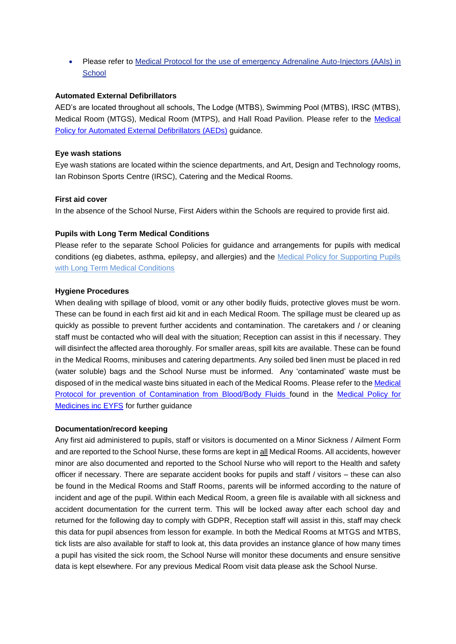• Please refer to Medical Protocol for the use of emergency Adrenaline Auto-Injectors (AAIs) in **School** 

#### **Automated External Defibrillators**

AED's are located throughout all schools, The Lodge (MTBS), Swimming Pool (MTBS), IRSC (MTBS), Medical Room (MTGS), Medical Room (MTPS), and Hall Road Pavilion. Please refer to the [Medical](https://merchanttaylorsschools-my.sharepoint.com/:w:/g/personal/a_dalton_merchanttaylors_com/ETLozUzLed5KhQ-Ypd0B_OQBI5d2mP9GLjJnwuWVvR4UhA?e=YB2kT5)  [Policy for Automated External Defibrillators \(AEDs\)](https://merchanttaylorsschools-my.sharepoint.com/:w:/g/personal/a_dalton_merchanttaylors_com/ETLozUzLed5KhQ-Ypd0B_OQBI5d2mP9GLjJnwuWVvR4UhA?e=YB2kT5) guidance.

#### **Eye wash stations**

Eye wash stations are located within the science departments, and Art, Design and Technology rooms, Ian Robinson Sports Centre (IRSC), Catering and the Medical Rooms.

#### **First aid cover**

In the absence of the School Nurse, First Aiders within the Schools are required to provide first aid.

#### **Pupils with Long Term Medical Conditions**

Please refer to the separate School Policies for guidance and arrangements for pupils with medical conditions (eg diabetes, asthma, epilepsy, and allergies) and the Medical Policy for Supporting Pupils with Long Term Medical Conditions

#### **Hygiene Procedures**

When dealing with spillage of blood, vomit or any other bodily fluids, protective gloves must be worn. These can be found in each first aid kit and in each Medical Room. The spillage must be cleared up as quickly as possible to prevent further accidents and contamination. The caretakers and / or cleaning staff must be contacted who will deal with the situation; Reception can assist in this if necessary. They will disinfect the affected area thoroughly. For smaller areas, spill kits are available. These can be found in the Medical Rooms, minibuses and catering departments. Any soiled bed linen must be placed in red (water soluble) bags and the School Nurse must be informed. Any 'contaminated' waste must be disposed of in the medical waste bins situated in each of the Medical Rooms. Please refer to the [Medical](https://merchanttaylorsschools-my.sharepoint.com/:w:/g/personal/a_dalton_merchanttaylors_com/EWXuqQTnBRdOlWiOgNiSKMoBxwbsNMLAfjYTwJ8Zg7AMkw?e=cew1df)  [Protocol for prevention of Contamination from Blood/Body Fluids](https://merchanttaylorsschools-my.sharepoint.com/:w:/g/personal/a_dalton_merchanttaylors_com/EWXuqQTnBRdOlWiOgNiSKMoBxwbsNMLAfjYTwJ8Zg7AMkw?e=cew1df) found in the [Medical Policy for](https://merchanttaylorsschools-my.sharepoint.com/:w:/g/personal/a_dalton_merchanttaylors_com/EYCmOTIbu8pJgNP5rXxm_GkBC8ELmxIb3aeb-STRNUM9Og?e=59eRqL)  [Medicines inc EYFS](https://merchanttaylorsschools-my.sharepoint.com/:w:/g/personal/a_dalton_merchanttaylors_com/EYCmOTIbu8pJgNP5rXxm_GkBC8ELmxIb3aeb-STRNUM9Og?e=59eRqL) for further guidance

#### **Documentation/record keeping**

Any first aid administered to pupils, staff or visitors is documented on a Minor Sickness / Ailment Form and are reported to the School Nurse, these forms are kept in all Medical Rooms. All accidents, however minor are also documented and reported to the School Nurse who will report to the Health and safety officer if necessary. There are separate accident books for pupils and staff / visitors – these can also be found in the Medical Rooms and Staff Rooms, parents will be informed according to the nature of incident and age of the pupil. Within each Medical Room, a green file is available with all sickness and accident documentation for the current term. This will be locked away after each school day and returned for the following day to comply with GDPR, Reception staff will assist in this, staff may check this data for pupil absences from lesson for example. In both the Medical Rooms at MTGS and MTBS, tick lists are also available for staff to look at, this data provides an instance glance of how many times a pupil has visited the sick room, the School Nurse will monitor these documents and ensure sensitive data is kept elsewhere. For any previous Medical Room visit data please ask the School Nurse.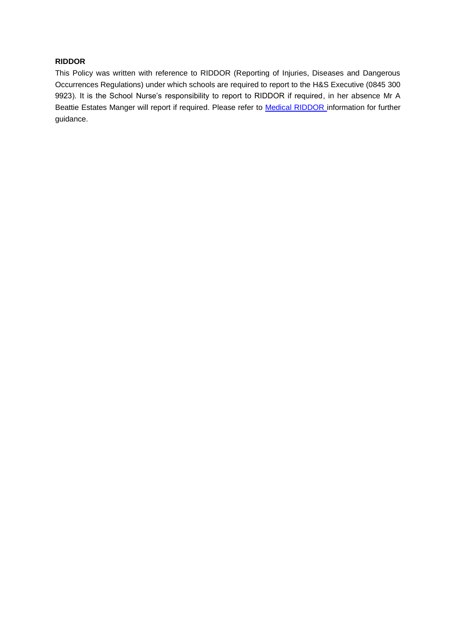#### **RIDDOR**

This Policy was written with reference to RIDDOR (Reporting of Injuries, Diseases and Dangerous Occurrences Regulations) under which schools are required to report to the H&S Executive (0845 300 9923). It is the School Nurse's responsibility to report to RIDDOR if required, in her absence Mr A Beattie Estates Manger will report if required. Please refer to **Medical RIDDOR** information for further guidance.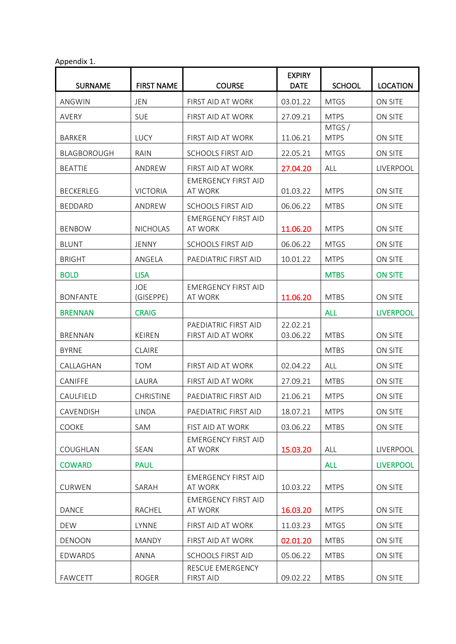|  |  | Appendix 1. |  |  |
|--|--|-------------|--|--|
|--|--|-------------|--|--|

| r r                |                         |                                              |                              |                      |                  |
|--------------------|-------------------------|----------------------------------------------|------------------------------|----------------------|------------------|
| <b>SURNAME</b>     | <b>FIRST NAME</b>       | <b>COURSE</b>                                | <b>EXPIRY</b><br><b>DATE</b> | <b>SCHOOL</b>        | <b>LOCATION</b>  |
| ANGWIN             | <b>JEN</b>              | FIRST AID AT WORK                            | 03.01.22                     | <b>MTGS</b>          | ON SITE          |
| AVERY              | <b>SUE</b>              | FIRST AID AT WORK                            | 27.09.21                     | <b>MTPS</b>          | ON SITE          |
| <b>BARKER</b>      | LUCY                    | FIRST AID AT WORK                            | 11.06.21                     | MTGS/<br><b>MTPS</b> | ON SITE          |
| <b>BLAGBOROUGH</b> | RAIN                    | <b>SCHOOLS FIRST AID</b>                     | 22.05.21                     | <b>MTGS</b>          | ON SITE          |
| <b>BEATTIE</b>     | ANDREW                  | FIRST AID AT WORK                            | 27.04.20                     | ALL                  | LIVERPOOL        |
| <b>BECKERLEG</b>   | <b>VICTORIA</b>         | <b>EMERGENCY FIRST AID</b><br>AT WORK        | 01.03.22                     | <b>MTPS</b>          | ON SITE          |
| <b>BEDDARD</b>     | ANDREW                  | <b>SCHOOLS FIRST AID</b>                     | 06.06.22                     | <b>MTBS</b>          | ON SITE          |
| <b>BENBOW</b>      | <b>NICHOLAS</b>         | <b>EMERGENCY FIRST AID</b><br>AT WORK        | 11.06.20                     | <b>MTPS</b>          | ON SITE          |
| <b>BLUNT</b>       | JENNY                   | <b>SCHOOLS FIRST AID</b>                     | 06.06.22                     | <b>MTGS</b>          | ON SITE          |
| <b>BRIGHT</b>      | ANGELA                  | PAEDIATRIC FIRST AID                         | 10.01.22                     | <b>MTPS</b>          | ON SITE          |
| <b>BOLD</b>        | <b>LISA</b>             |                                              |                              | <b>MTBS</b>          | <b>ON SITE</b>   |
| <b>BONFANTE</b>    | <b>JOE</b><br>(GISEPPE) | <b>EMERGENCY FIRST AID</b><br>AT WORK        | 11.06.20                     | <b>MTBS</b>          | ON SITE          |
| <b>BRENNAN</b>     | <b>CRAIG</b>            |                                              |                              | <b>ALL</b>           | <b>LIVERPOOL</b> |
| <b>BRENNAN</b>     | <b>KEIREN</b>           | PAEDIATRIC FIRST AID<br>FIRST AID AT WORK    | 22.02.21<br>03.06.22         | <b>MTBS</b>          | ON SITE          |
| <b>BYRNE</b>       | <b>CLAIRE</b>           |                                              |                              | <b>MTBS</b>          | ON SITE          |
| CALLAGHAN          | <b>TOM</b>              | FIRST AID AT WORK                            | 02.04.22                     | ALL                  | ON SITE          |
| CANIFFE            | LAURA                   | FIRST AID AT WORK                            | 27.09.21                     | <b>MTBS</b>          | ON SITE          |
| CAULFIELD          | <b>CHRISTINE</b>        | PAEDIATRIC FIRST AID                         | 21.06.21                     | <b>MTPS</b>          | ON SITE          |
| CAVENDISH          | <b>LINDA</b>            | PAEDIATRIC FIRST AID                         | 18.07.21                     | <b>MTPS</b>          | ON SITE          |
| COOKE              | SAM                     | FIST AID AT WORK                             | 03.06.22                     | <b>MTBS</b>          | ON SITE          |
| COUGHLAN           | SEAN                    | <b>EMERGENCY FIRST AID</b><br>AT WORK        | 15.03.20                     | ALL                  | LIVERPOOL        |
| <b>COWARD</b>      | <b>PAUL</b>             |                                              |                              | <b>ALL</b>           | <b>LIVERPOOL</b> |
| <b>CURWEN</b>      | SARAH                   | <b>EMERGENCY FIRST AID</b><br><b>AT WORK</b> | 10.03.22                     | <b>MTPS</b>          | ON SITE          |
| <b>DANCE</b>       | RACHEL                  | <b>EMERGENCY FIRST AID</b><br>AT WORK        | 16.03.20                     | <b>MTPS</b>          | ON SITE          |
| <b>DEW</b>         | LYNNE                   | FIRST AID AT WORK                            | 11.03.23                     | <b>MTGS</b>          | ON SITE          |
| <b>DENOON</b>      | <b>MANDY</b>            | FIRST AID AT WORK                            | 02.01.20                     | <b>MTBS</b>          | ON SITE          |
| EDWARDS            | <b>ANNA</b>             | <b>SCHOOLS FIRST AID</b>                     | 05.06.22                     | <b>MTBS</b>          | ON SITE          |
| <b>FAWCETT</b>     | <b>ROGER</b>            | RESCUE EMERGENCY<br><b>FIRST AID</b>         | 09.02.22                     | <b>MTBS</b>          | ON SITE          |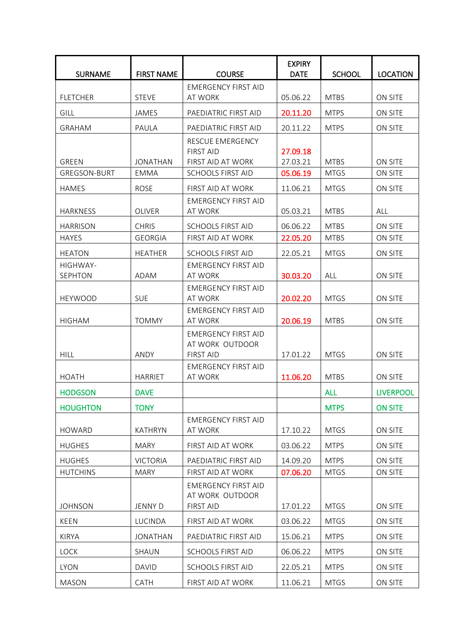|                                  |                                |                                                                   | <b>EXPIRY</b>        |                            |                    |
|----------------------------------|--------------------------------|-------------------------------------------------------------------|----------------------|----------------------------|--------------------|
| <b>SURNAME</b>                   | <b>FIRST NAME</b>              | <b>COURSE</b>                                                     | <b>DATE</b>          | <b>SCHOOL</b>              | <b>LOCATION</b>    |
| <b>FLETCHER</b>                  | <b>STEVE</b>                   | <b>EMERGENCY FIRST AID</b><br>AT WORK                             | 05.06.22             | <b>MTBS</b>                | ON SITE            |
| <b>GILL</b>                      | <b>JAMES</b>                   | PAEDIATRIC FIRST AID                                              | 20.11.20             | <b>MTPS</b>                | ON SITE            |
| <b>GRAHAM</b>                    | PAULA                          | PAEDIATRIC FIRST AID                                              | 20.11.22             | <b>MTPS</b>                | ON SITE            |
| <b>GREEN</b>                     | <b>JONATHAN</b>                | RESCUE EMERGENCY<br><b>FIRST AID</b><br>FIRST AID AT WORK         | 27.09.18<br>27.03.21 | <b>MTBS</b>                | <b>ON SITE</b>     |
| <b>GREGSON-BURT</b>              | <b>EMMA</b>                    | <b>SCHOOLS FIRST AID</b>                                          | 05.06.19             | <b>MTGS</b>                | ON SITE            |
| <b>HAMES</b>                     | <b>ROSE</b>                    | FIRST AID AT WORK                                                 | 11.06.21             | <b>MTGS</b>                | ON SITE            |
| <b>HARKNESS</b>                  | <b>OLIVER</b>                  | <b>EMERGENCY FIRST AID</b><br>AT WORK                             | 05.03.21             | <b>MTBS</b>                | ALL                |
| <b>HARRISON</b>                  | <b>CHRIS</b>                   | <b>SCHOOLS FIRST AID</b>                                          | 06.06.22             | <b>MTBS</b>                | ON SITE            |
| <b>HAYES</b>                     | <b>GEORGIA</b>                 | <b>FIRST AID AT WORK</b>                                          | 22.05.20             | <b>MTBS</b>                | ON SITE            |
| <b>HEATON</b>                    | <b>HEATHER</b>                 | <b>SCHOOLS FIRST AID</b>                                          | 22.05.21             | <b>MTGS</b>                | ON SITE            |
| HIGHWAY-<br><b>SEPHTON</b>       | ADAM                           | <b>EMERGENCY FIRST AID</b><br><b>AT WORK</b>                      | 30.03.20             | ALL                        | <b>ON SITE</b>     |
| <b>HEYWOOD</b>                   | <b>SUE</b>                     | <b>EMERGENCY FIRST AID</b><br>AT WORK                             | 20.02.20             | <b>MTGS</b>                | ON SITE            |
| <b>HIGHAM</b>                    | <b>TOMMY</b>                   | <b>EMERGENCY FIRST AID</b><br>AT WORK                             | 20.06.19             | <b>MTBS</b>                | ON SITE            |
| <b>HILL</b>                      | ANDY                           | <b>EMERGENCY FIRST AID</b><br>AT WORK OUTDOOR<br><b>FIRST AID</b> | 17.01.22             | <b>MTGS</b>                | <b>ON SITE</b>     |
| <b>HOATH</b>                     | <b>HARRIET</b>                 | <b>EMERGENCY FIRST AID</b><br>AT WORK                             | 11.06.20             | <b>MTBS</b>                | ON SITE            |
| <b>HODGSON</b>                   | <b>DAVE</b>                    |                                                                   |                      | <b>ALL</b>                 | <b>LIVERPOOL</b>   |
| <b>HOUGHTON</b>                  | <b>TONY</b>                    |                                                                   |                      | <b>MTPS</b>                | <b>ON SITE</b>     |
| <b>HOWARD</b>                    | <b>KATHRYN</b>                 | <b>EMERGENCY FIRST AID</b><br>AT WORK                             | 17.10.22             | <b>MTGS</b>                | ON SITE            |
| <b>HUGHES</b>                    | <b>MARY</b>                    | FIRST AID AT WORK                                                 | 03.06.22             | <b>MTPS</b>                | ON SITE            |
| <b>HUGHES</b><br><b>HUTCHINS</b> | <b>VICTORIA</b><br><b>MARY</b> | PAEDIATRIC FIRST AID<br>FIRST AID AT WORK                         | 14.09.20<br>07.06.20 | <b>MTPS</b><br><b>MTGS</b> | ON SITE<br>ON SITE |
|                                  |                                | <b>EMERGENCY FIRST AID</b><br>AT WORK OUTDOOR                     |                      |                            |                    |
| <b>JOHNSON</b>                   | <b>JENNY D</b>                 | <b>FIRST AID</b>                                                  | 17.01.22             | <b>MTGS</b>                | ON SITE            |
| <b>KEEN</b>                      | LUCINDA                        | FIRST AID AT WORK                                                 | 03.06.22             | <b>MTGS</b>                | ON SITE            |
| <b>KIRYA</b>                     | <b>JONATHAN</b>                | PAEDIATRIC FIRST AID                                              | 15.06.21             | <b>MTPS</b>                | ON SITE            |
| <b>LOCK</b>                      | SHAUN                          | <b>SCHOOLS FIRST AID</b>                                          | 06.06.22             | <b>MTPS</b>                | ON SITE            |
| <b>LYON</b>                      | <b>DAVID</b>                   | <b>SCHOOLS FIRST AID</b>                                          | 22.05.21             | <b>MTPS</b>                | ON SITE            |
| <b>MASON</b>                     | CATH                           | FIRST AID AT WORK                                                 | 11.06.21             | <b>MTGS</b>                | ON SITE            |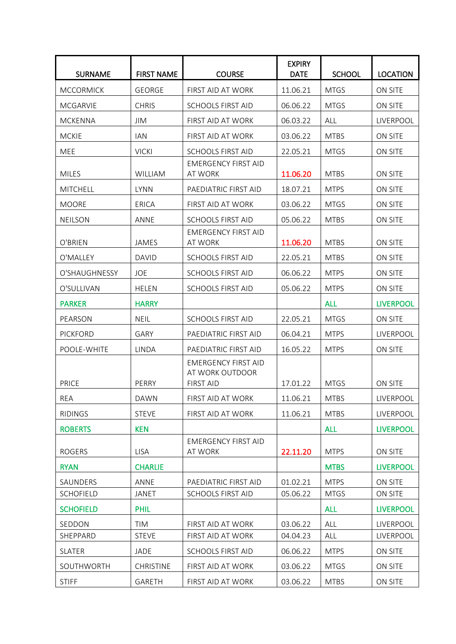| <b>SURNAME</b>   | <b>FIRST NAME</b> | <b>COURSE</b>                                                     | <b>EXPIRY</b><br><b>DATE</b> | <b>SCHOOL</b> | <b>LOCATION</b>  |
|------------------|-------------------|-------------------------------------------------------------------|------------------------------|---------------|------------------|
| <b>MCCORMICK</b> | <b>GEORGE</b>     | FIRST AID AT WORK                                                 | 11.06.21                     | <b>MTGS</b>   | ON SITE          |
| <b>MCGARVIE</b>  | <b>CHRIS</b>      | SCHOOLS FIRST AID                                                 | 06.06.22                     | <b>MTGS</b>   | ON SITE          |
| <b>MCKENNA</b>   | <b>JIM</b>        | FIRST AID AT WORK                                                 | 06.03.22                     | ALL           | LIVERPOOL        |
| <b>MCKIE</b>     | <b>IAN</b>        | FIRST AID AT WORK                                                 | 03.06.22                     | <b>MTBS</b>   | ON SITE          |
| MEE              | <b>VICKI</b>      | <b>SCHOOLS FIRST AID</b>                                          | 22.05.21                     | <b>MTGS</b>   | ON SITE          |
| <b>MILES</b>     | <b>WILLIAM</b>    | <b>EMERGENCY FIRST AID</b><br>AT WORK                             | 11.06.20                     | <b>MTBS</b>   | ON SITE          |
| <b>MITCHELL</b>  | <b>LYNN</b>       | PAEDIATRIC FIRST AID                                              | 18.07.21                     | <b>MTPS</b>   | ON SITE          |
| <b>MOORE</b>     | <b>ERICA</b>      | FIRST AID AT WORK                                                 | 03.06.22                     | <b>MTGS</b>   | ON SITE          |
| <b>NEILSON</b>   | ANNE              | <b>SCHOOLS FIRST AID</b>                                          | 05.06.22                     | <b>MTBS</b>   | ON SITE          |
| O'BRIEN          | JAMES             | <b>EMERGENCY FIRST AID</b><br>AT WORK                             | 11.06.20                     | <b>MTBS</b>   | <b>ON SITE</b>   |
| O'MALLEY         | <b>DAVID</b>      | <b>SCHOOLS FIRST AID</b>                                          | 22.05.21                     | <b>MTBS</b>   | ON SITE          |
| O'SHAUGHNESSY    | JOE               | <b>SCHOOLS FIRST AID</b>                                          | 06.06.22                     | <b>MTPS</b>   | ON SITE          |
| O'SULLIVAN       | <b>HELEN</b>      | <b>SCHOOLS FIRST AID</b>                                          | 05.06.22                     | <b>MTPS</b>   | ON SITE          |
| <b>PARKER</b>    | <b>HARRY</b>      |                                                                   |                              | <b>ALL</b>    | <b>LIVERPOOL</b> |
| PEARSON          | <b>NEIL</b>       | <b>SCHOOLS FIRST AID</b>                                          | 22.05.21                     | <b>MTGS</b>   | ON SITE          |
| <b>PICKFORD</b>  | GARY              | PAEDIATRIC FIRST AID                                              | 06.04.21                     | <b>MTPS</b>   | LIVERPOOL        |
| POOLE-WHITE      | <b>LINDA</b>      | PAEDIATRIC FIRST AID                                              | 16.05.22                     | <b>MTPS</b>   | ON SITE          |
| <b>PRICE</b>     | PERRY             | <b>EMERGENCY FIRST AID</b><br>AT WORK OUTDOOR<br><b>FIRST AID</b> | 17.01.22                     | <b>MTGS</b>   | <b>ON SITE</b>   |
| REA              | <b>DAWN</b>       | FIRST AID AT WORK                                                 | 11.06.21                     | <b>MTBS</b>   | LIVERPOOL        |
| <b>RIDINGS</b>   | <b>STEVE</b>      | FIRST AID AT WORK                                                 | 11.06.21                     | <b>MTBS</b>   | LIVERPOOL        |
| <b>ROBERTS</b>   | <b>KEN</b>        |                                                                   |                              | <b>ALL</b>    | <b>LIVERPOOL</b> |
| <b>ROGERS</b>    | <b>LISA</b>       | <b>EMERGENCY FIRST AID</b><br>AT WORK                             | 22.11.20                     | <b>MTPS</b>   | ON SITE          |
| <b>RYAN</b>      | <b>CHARLIE</b>    |                                                                   |                              | <b>MTBS</b>   | <b>LIVERPOOL</b> |
| SAUNDERS         | ANNE              | PAEDIATRIC FIRST AID                                              | 01.02.21                     | <b>MTPS</b>   | ON SITE          |
| <b>SCHOFIELD</b> | <b>JANET</b>      | <b>SCHOOLS FIRST AID</b>                                          | 05.06.22                     | <b>MTGS</b>   | ON SITE          |
| <b>SCHOFIELD</b> | <b>PHIL</b>       |                                                                   |                              | <b>ALL</b>    | <b>LIVERPOOL</b> |
| SEDDON           | <b>TIM</b>        | FIRST AID AT WORK                                                 | 03.06.22                     | ALL           | LIVERPOOL        |
| SHEPPARD         | <b>STEVE</b>      | FIRST AID AT WORK                                                 | 04.04.23                     | ALL           | LIVERPOOL        |
| <b>SLATER</b>    | JADE              | <b>SCHOOLS FIRST AID</b>                                          | 06.06.22                     | <b>MTPS</b>   | ON SITE          |
| SOUTHWORTH       | <b>CHRISTINE</b>  | FIRST AID AT WORK                                                 | 03.06.22                     | <b>MTGS</b>   | ON SITE          |
| <b>STIFF</b>     | GARETH            | FIRST AID AT WORK                                                 | 03.06.22                     | <b>MTBS</b>   | ON SITE          |